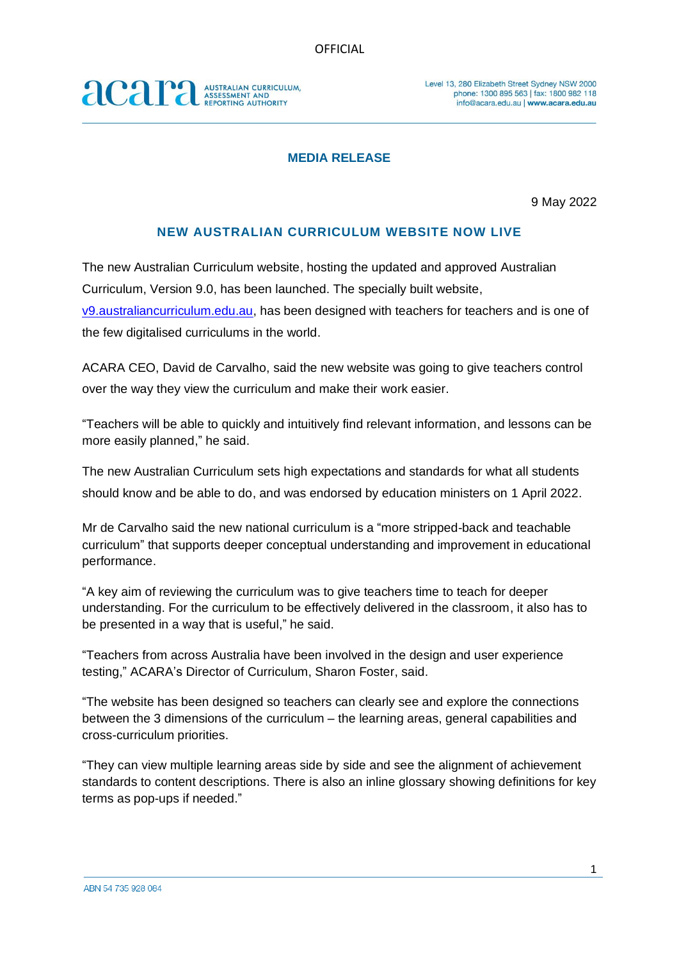## acara AUSTRALIAN CURRICULUM,<br>ASSESSMENT AND<br>REPORTING AUTHORITY

### **MEDIA RELEASE**

9 May 2022

### **NEW AUSTRALIAN CURRICULUM WEBSITE NOW LIVE**

The new Australian Curriculum website, hosting the updated and approved Australian Curriculum, Version 9.0, has been launched. The specially built website, [v9.australiancurriculum.edu.au,](http://v9.australiancurriculum.edu.au/) has been designed with teachers for teachers and is one of the few digitalised curriculums in the world.

ACARA CEO, David de Carvalho, said the new website was going to give teachers control over the way they view the curriculum and make their work easier.

"Teachers will be able to quickly and intuitively find relevant information, and lessons can be more easily planned," he said.

The new Australian Curriculum sets high expectations and standards for what all students should know and be able to do, and was endorsed by education ministers on 1 April 2022.

Mr de Carvalho said the new national curriculum is a "more stripped-back and teachable curriculum" that supports deeper conceptual understanding and improvement in educational performance.

"A key aim of reviewing the curriculum was to give teachers time to teach for deeper understanding. For the curriculum to be effectively delivered in the classroom, it also has to be presented in a way that is useful," he said.

"Teachers from across Australia have been involved in the design and user experience testing," ACARA's Director of Curriculum, Sharon Foster, said.

"The website has been designed so teachers can clearly see and explore the connections between the 3 dimensions of the curriculum – the learning areas, general capabilities and cross-curriculum priorities.

"They can view multiple learning areas side by side and see the alignment of achievement standards to content descriptions. There is also an inline glossary showing definitions for key terms as pop-ups if needed."